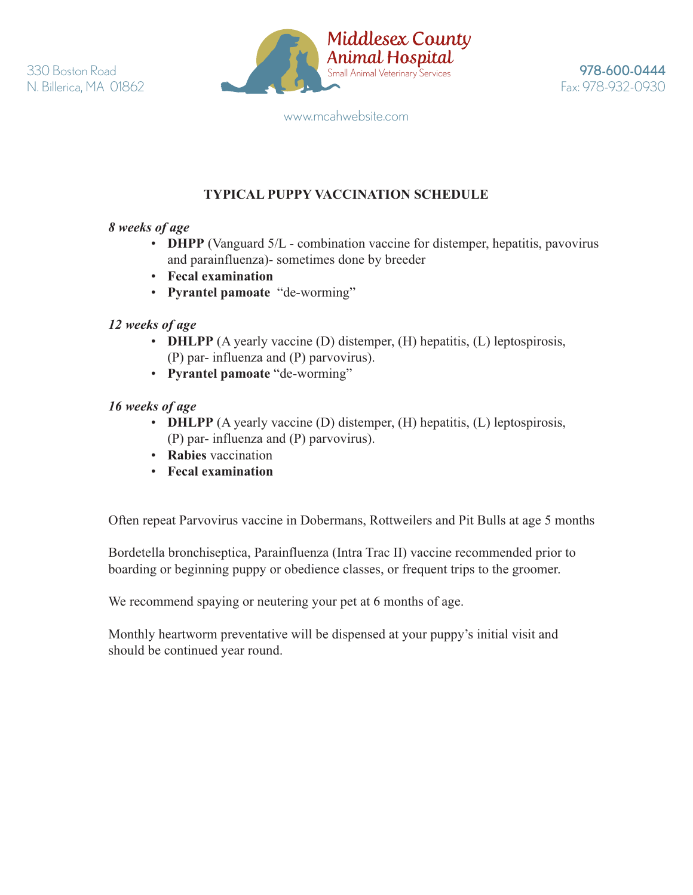

www.mcahwebsite.com

# **TYPICAL PUPPY VACCINATION SCHEDULE**

### *8 weeks of age*

- **DHPP** (Vanguard 5/L combination vaccine for distemper, hepatitis, pavovirus and parainfluenza)- sometimes done by breeder
- **Fecal examination**
- **Pyrantel pamoate** "de-worming"

## *12 weeks of age*

- **DHLPP** (A yearly vaccine (D) distemper, (H) hepatitis, (L) leptospirosis, (P) par- influenza and (P) parvovirus).
- **Pyrantel pamoate** "de-worming"

### *16 weeks of age*

- **DHLPP** (A yearly vaccine (D) distemper, (H) hepatitis, (L) leptospirosis, (P) par- influenza and (P) parvovirus).
- **Rabies** vaccination
- **Fecal examination**

Often repeat Parvovirus vaccine in Dobermans, Rottweilers and Pit Bulls at age 5 months

 Bordetella bronchiseptica, Parainfluenza (Intra Trac II) vaccine recommended prior to boarding or beginning puppy or obedience classes, or frequent trips to the groomer.

We recommend spaying or neutering your pet at 6 months of age.

 Monthly heartworm preventative will be dispensed at your puppy's initial visit and should be continued year round.